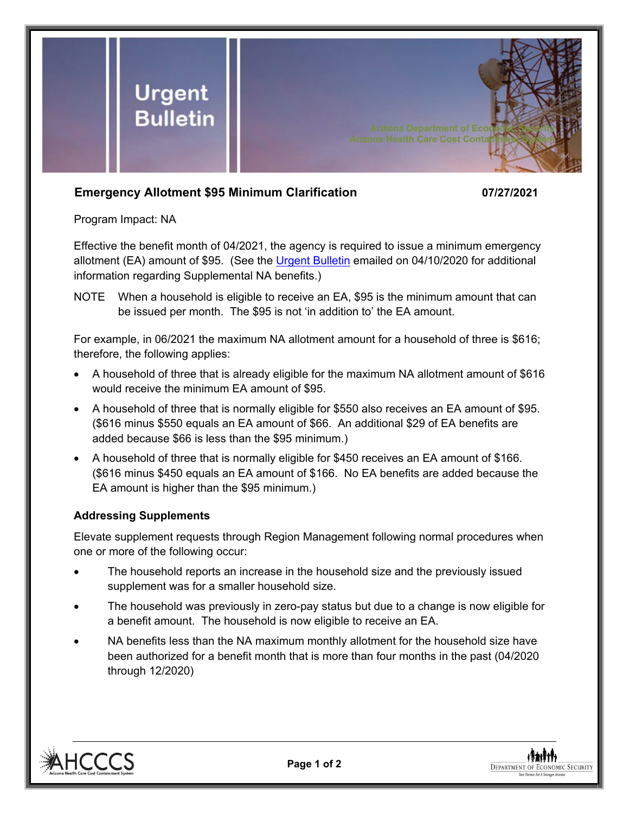

## **Emergency Allotment \$95 Minimum Clarification 07/27/2021**

Program Impact: NA

Effective the benefit month of 04/2021, the agency is required to issue a minimum emergency allotment (EA) amount of \$95. (See the [Urgent Bulletin](https://dbmefaapolicy.azdes.gov/FAA5/baggage/Urgent%20Bulletin%20(04-10-2020)%20-%20Supplemental%20Nutrition%20Assistance%20Benefits%20for%20Participants.pdf) emailed on 04/10/2020 for additional information regarding Supplemental NA benefits.)

NOTE When a household is eligible to receive an EA, \$95 is the minimum amount that can be issued per month. The \$95 is not 'in addition to' the EA amount.

For example, in 06/2021 the maximum NA allotment amount for a household of three is \$616; therefore, the following applies:

- A household of three that is already eligible for the maximum NA allotment amount of \$616 would receive the minimum EA amount of \$95.
- A household of three that is normally eligible for \$550 also receives an EA amount of \$95. (\$616 minus \$550 equals an EA amount of \$66. An additional \$29 of EA benefits are added because \$66 is less than the \$95 minimum.)
- A household of three that is normally eligible for \$450 receives an EA amount of \$166. (\$616 minus \$450 equals an EA amount of \$166. No EA benefits are added because the EA amount is higher than the \$95 minimum.)

## **Addressing Supplements**

Elevate supplement requests through Region Management following normal procedures when one or more of the following occur:

- The household reports an increase in the household size and the previously issued supplement was for a smaller household size.
- The household was previously in zero-pay status but due to a change is now eligible for a benefit amount. The household is now eligible to receive an EA.
- NA benefits less than the NA maximum monthly allotment for the household size have been authorized for a benefit month that is more than four months in the past (04/2020 through 12/2020)